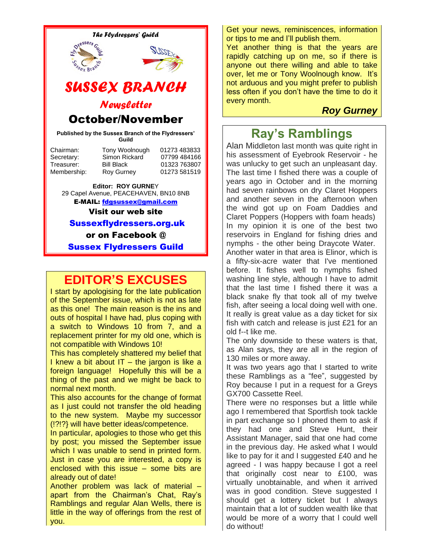

or on Facebook @

Sussex Flydressers Guild

# **EDITOR'S EXCUSES**

I start by apologising for the late publication of the September issue, which is not as late as this one! The main reason is the ins and outs of hospital I have had, plus coping with a switch to Windows 10 from 7, and a replacement printer for my old one, which is not compatible with Windows 10!

This has completely shattered my belief that I knew a bit about IT  $-$  the jargon is like a foreign language! Hopefully this will be a thing of the past and we might be back to normal next month.

This also accounts for the change of format as I just could not transfer the old heading to the new system. Maybe my successor (!?!?} will have better ideas/competence.

In particular, apologies to those who get this by post; you missed the September issue which I was unable to send in printed form. Just in case you are interested, a copy is enclosed with this issue – some bits are already out of date!

Another problem was lack of material – apart from the Chairman's Chat, Ray's Ramblings and regular Alan Wells, there is little in the way of offerings from the rest of you.

Get your news, reminiscences, information or tips to me and I'll publish them.

Yet another thing is that the years are rapidly catching up on me, so if there is anyone out there willing and able to take over, let me or Tony Woolnough know. It's not arduous and you might prefer to publish less often if you don't have the time to do it every month.

### *Roy Gurney*

# **Ray's Ramblings**

Alan Middleton last month was quite right in his assessment of Eyebrook Reservoir - he was unlucky to get such an unpleasant day. The last time I fished there was a couple of years ago in October and in the morning had seven rainbows on dry Claret Hoppers and another seven in the afternoon when the wind got up on Foam Daddies and Claret Poppers (Hoppers with foam heads) In my opinion it is one of the best two reservoirs in England for fishing dries and nymphs - the other being Draycote Water. Another water in that area is Elinor, which is a fifty-six-acre water that I've mentioned before. It fishes well to nymphs fished washing line style, although I have to admit that the last time I fished there it was a black snake fly that took all of my twelve fish, after seeing a local doing well with one. It really is great value as a day ticket for six fish with catch and release is just £21 for an old f--t like me.

The only downside to these waters is that, as Alan says, they are all in the region of 130 miles or more away.

It was two years ago that I started to write these Ramblings as a "fee", suggested by Roy because I put in a request for a Greys GX700 Cassette Reel.

There were no responses but a little while ago I remembered that Sportfish took tackle in part exchange so I phoned them to ask if they had one and Steve Hunt, their Assistant Manager, said that one had come in the previous day. He asked what I would like to pay for it and I suggested £40 and he agreed - I was happy because I got a reel that originally cost near to £100, was virtually unobtainable, and when it arrived was in good condition. Steve suggested I should get a lottery ticket but I always maintain that a lot of sudden wealth like that would be more of a worry that l could well do without!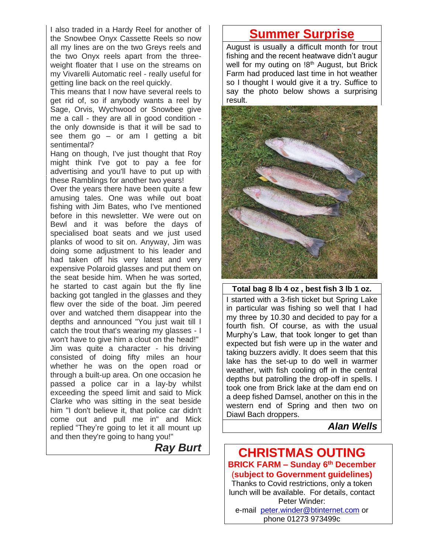I also traded in a Hardy Reel for another of the Snowbee Onyx Cassette Reels so now all my lines are on the two Greys reels and the two Onyx reels apart from the threeweight floater that I use on the streams on my Vivarelli Automatic reel - really useful for getting line back on the reel quickly.

This means that I now have several reels to get rid of, so if anybody wants a reel by Sage, Orvis, Wychwood or Snowbee give me a call - they are all in good condition the only downside is that it will be sad to see them go  $-$  or am I getting a bit sentimental?

Hang on though, I've just thought that Roy might think I've got to pay a fee for advertising and you'll have to put up with these Ramblings for another two years!

Over the years there have been quite a few amusing tales. One was while out boat fishing with Jim Bates, who I've mentioned before in this newsletter. We were out on Bewl and it was before the days of specialised boat seats and we just used planks of wood to sit on. Anyway, Jim was doing some adjustment to his leader and had taken off his very latest and very expensive Polaroid glasses and put them on the seat beside him. When he was sorted, he started to cast again but the fly line backing got tangled in the glasses and they flew over the side of the boat. Jim peered over and watched them disappear into the depths and announced "You just wait till I catch the trout that's wearing my glasses - I won't have to give him a clout on the head!" Jim was quite a character - his driving consisted of doing fifty miles an hour whether he was on the open road or through a built-up area. On one occasion he passed a police car in a lay-by whilst exceeding the speed limit and said to Mick Clarke who was sitting in the seat beside him "I don't believe it, that police car didn't come out and pull me in" and Mick replied "They're going to let it all mount up and then they're going to hang you!"

*Ray Burt*

# **Summer Surprise**

August is usually a difficult month for trout fishing and the recent heatwave didn't augur well for my outing on  $18<sup>th</sup>$  August, but Brick Farm had produced last time in hot weather so I thought I would give it a try. Suffice to say the photo below shows a surprising result.



**Total bag 8 lb 4 oz , best fish 3 lb 1 oz.** I started with a 3-fish ticket but Spring Lake in particular was fishing so well that I had my three by 10.30 and decided to pay for a fourth fish. Of course, as with the usual Murphy's Law, that took longer to get than expected but fish were up in the water and taking buzzers avidly. It does seem that this lake has the set-up to do well in warmer weather, with fish cooling off in the central depths but patrolling the drop-off in spells. I took one from Brick lake at the dam end on a deep fished Damsel, another on this in the western end of Spring and then two on Diawl Bach droppers.

### *Alan Wells*

### **CHRISTMAS OUTING BRICK FARM – Sunday 6 th December** (**subject to Government guidelines)** Thanks to Covid restrictions, only a token lunch will be available. For details, contact Peter Winder: e-mail [peter.winder@btinternet.com](mailto:peter.winder@btinternet.com) or phone 01273 973499c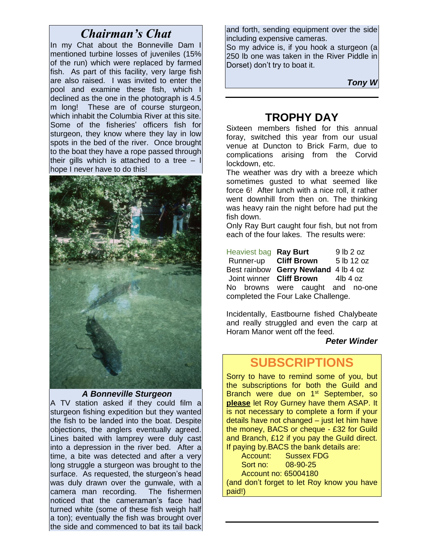## *Chairman's Chat*

In my Chat about the Bonneville Dam I mentioned turbine losses of juveniles (15% of the run) which were replaced by farmed fish. As part of this facility, very large fish are also raised. I was invited to enter the pool and examine these fish, which I declined as the one in the photograph is 4.5 m long! These are of course sturgeon, which inhabit the Columbia River at this site. Some of the fisheries' officers fish for sturgeon, they know where they lay in low spots in the bed of the river. Once brought to the boat they have a rope passed through their gills which is attached to a tree  $-1$ hope I never have to do this!



#### *A Bonneville Sturgeon*

A TV station asked if they could film a sturgeon fishing expedition but they wanted the fish to be landed into the boat. Despite objections, the anglers eventually agreed. Lines baited with lamprey were duly cast into a depression in the river bed. After a time, a bite was detected and after a very long struggle a sturgeon was brought to the surface. As requested, the sturgeon's head was duly drawn over the gunwale, with a camera man recording. The fishermen noticed that the cameraman's face had turned white (some of these fish weigh half a ton); eventually the fish was brought over the side and commenced to bat its tail back and forth, sending equipment over the side including expensive cameras.

So my advice is, if you hook a sturgeon (a 250 lb one was taken in the River Piddle in Dorset) don't try to boat it.

*Tony W*

## **TROPHY DAY**

Sixteen members fished for this annual foray, switched this year from our usual venue at Duncton to Brick Farm, due to complications arising from the Corvid lockdown, etc.

The weather was dry with a breeze which sometimes gusted to what seemed like force 6! After lunch with a nice roll, it rather went downhill from then on. The thinking was heavy rain the night before had put the fish down.

Only Ray Burt caught four fish, but not from each of the four lakes. The results were:

Heaviest bag **Ray Burt** 9 lb 2 oz Runner-up **Cliff Brown** 5 lb 12 oz Best rainbow **Gerry Newland** 4 lb 4 oz Joint winner **Cliff Brown** 4lb 4 oz No browns were caught and no-one completed the Four Lake Challenge.

Incidentally, Eastbourne fished Chalybeate and really struggled and even the carp at Horam Manor went off the feed.

#### *Peter Winder*

# **SUBSCRIPTIONS**

Sorry to have to remind some of you, but the subscriptions for both the Guild and Branch were due on 1<sup>st</sup> September, so **please** let Roy Gurney have them ASAP. It is not necessary to complete a form if your details have not changed – just let him have the money, BACS or cheque - £32 for Guild and Branch, £12 if you pay the Guild direct. If paying by.BACS the bank details are:

 Account: Sussex FDG Sort no: 08-90-25 Account no: 65004180 (and don't forget to let Roy know you have paid!)